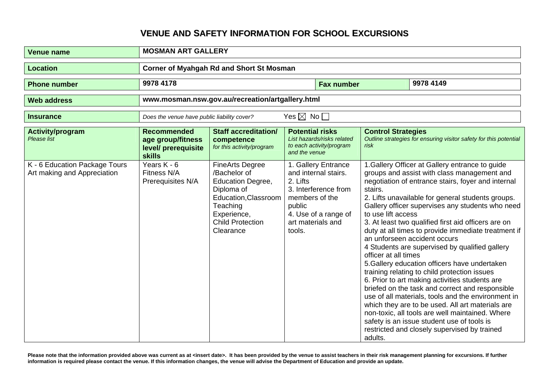## **VENUE AND SAFETY INFORMATION FOR SCHOOL EXCURSIONS**

| <b>Venue name</b>                                            | <b>MOSMAN ART GALLERY</b>                                                       |                                                                                                                                                                      |                                                                     |                                                                                             |                                                                  |                                                                                                                                                                                                                                                                                                                                                                                                                                                                                                                                                                                                                                                                                                                                                                                                                                                                                                                                |
|--------------------------------------------------------------|---------------------------------------------------------------------------------|----------------------------------------------------------------------------------------------------------------------------------------------------------------------|---------------------------------------------------------------------|---------------------------------------------------------------------------------------------|------------------------------------------------------------------|--------------------------------------------------------------------------------------------------------------------------------------------------------------------------------------------------------------------------------------------------------------------------------------------------------------------------------------------------------------------------------------------------------------------------------------------------------------------------------------------------------------------------------------------------------------------------------------------------------------------------------------------------------------------------------------------------------------------------------------------------------------------------------------------------------------------------------------------------------------------------------------------------------------------------------|
| <b>Location</b>                                              | Corner of Myahgah Rd and Short St Mosman                                        |                                                                                                                                                                      |                                                                     |                                                                                             |                                                                  |                                                                                                                                                                                                                                                                                                                                                                                                                                                                                                                                                                                                                                                                                                                                                                                                                                                                                                                                |
| <b>Phone number</b>                                          | 9978 4178<br><b>Fax number</b>                                                  |                                                                                                                                                                      |                                                                     |                                                                                             | 9978 4149                                                        |                                                                                                                                                                                                                                                                                                                                                                                                                                                                                                                                                                                                                                                                                                                                                                                                                                                                                                                                |
| <b>Web address</b>                                           | www.mosman.nsw.gov.au/recreation/artgallery.html                                |                                                                                                                                                                      |                                                                     |                                                                                             |                                                                  |                                                                                                                                                                                                                                                                                                                                                                                                                                                                                                                                                                                                                                                                                                                                                                                                                                                                                                                                |
| <b>Insurance</b>                                             | Does the venue have public liability cover?                                     |                                                                                                                                                                      | Yes $\boxtimes$ No $\square$                                        |                                                                                             |                                                                  |                                                                                                                                                                                                                                                                                                                                                                                                                                                                                                                                                                                                                                                                                                                                                                                                                                                                                                                                |
| Activity/program<br>Please list                              | <b>Recommended</b><br>age group/fitness<br>level/ prerequisite<br><b>skills</b> | <b>Staff accreditation/</b><br>competence<br>for this activity/program                                                                                               | <b>Potential risks</b><br>and the venue                             | List hazards/risks related<br>to each activity/program                                      | <b>Control Strategies</b><br>risk                                | Outline strategies for ensuring visitor safety for this potential                                                                                                                                                                                                                                                                                                                                                                                                                                                                                                                                                                                                                                                                                                                                                                                                                                                              |
| K - 6 Education Package Tours<br>Art making and Appreciation | Years K - 6<br>Fitness N/A<br>Prerequisites N/A                                 | <b>FineArts Degree</b><br>/Bachelor of<br>Education Degree,<br>Diploma of<br>Education, Classroom<br>Teaching<br>Experience,<br><b>Child Protection</b><br>Clearance | 2. Lifts<br>members of the<br>public<br>art materials and<br>tools. | 1. Gallery Entrance<br>and internal stairs.<br>3. Interference from<br>4. Use of a range of | stairs.<br>to use lift access<br>officer at all times<br>adults. | 1. Gallery Officer at Gallery entrance to guide<br>groups and assist with class management and<br>negotiation of entrance stairs, foyer and internal<br>2. Lifts unavailable for general students groups.<br>Gallery officer supervises any students who need<br>3. At least two qualified first aid officers are on<br>duty at all times to provide immediate treatment if<br>an unforseen accident occurs<br>4 Students are supervised by qualified gallery<br>5. Gallery education officers have undertaken<br>training relating to child protection issues<br>6. Prior to art making activities students are<br>briefed on the task and correct and responsible<br>use of all materials, tools and the environment in<br>which they are to be used. All art materials are<br>non-toxic, all tools are well maintained. Where<br>safety is an issue student use of tools is<br>restricted and closely supervised by trained |

Please note that the information provided above was current as at <insert date>. It has been provided by the venue to assist teachers in their risk management planning for excursions. If further **information is required please contact the venue. If this information changes, the venue will advise the Department of Education and provide an update.**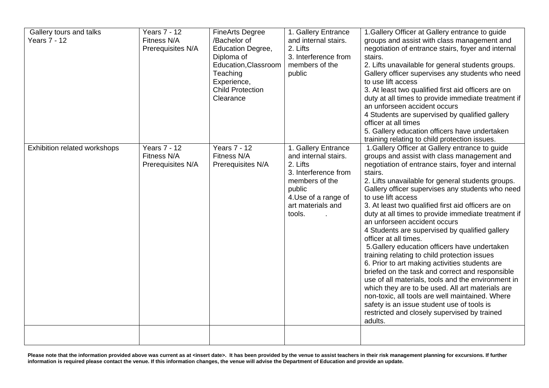| Gallery tours and talks<br><b>Years 7 - 12</b> | <b>Years 7 - 12</b><br>Fitness N/A<br>Prerequisites N/A | <b>FineArts Degree</b><br>/Bachelor of<br><b>Education Degree,</b><br>Diploma of<br>Education, Classroom<br>Teaching<br>Experience,<br><b>Child Protection</b><br>Clearance | 1. Gallery Entrance<br>and internal stairs.<br>2. Lifts<br>3. Interference from<br>members of the<br>public                                                        | 1. Gallery Officer at Gallery entrance to guide<br>groups and assist with class management and<br>negotiation of entrance stairs, foyer and internal<br>stairs.<br>2. Lifts unavailable for general students groups.<br>Gallery officer supervises any students who need<br>to use lift access<br>3. At least two qualified first aid officers are on<br>duty at all times to provide immediate treatment if<br>an unforseen accident occurs<br>4 Students are supervised by qualified gallery<br>officer at all times<br>5. Gallery education officers have undertaken<br>training relating to child protection issues.                                                                                                                                                                                                                                                                                                                                                                            |
|------------------------------------------------|---------------------------------------------------------|-----------------------------------------------------------------------------------------------------------------------------------------------------------------------------|--------------------------------------------------------------------------------------------------------------------------------------------------------------------|-----------------------------------------------------------------------------------------------------------------------------------------------------------------------------------------------------------------------------------------------------------------------------------------------------------------------------------------------------------------------------------------------------------------------------------------------------------------------------------------------------------------------------------------------------------------------------------------------------------------------------------------------------------------------------------------------------------------------------------------------------------------------------------------------------------------------------------------------------------------------------------------------------------------------------------------------------------------------------------------------------|
| Exhibition related workshops                   | <b>Years 7 - 12</b><br>Fitness N/A<br>Prerequisites N/A | <b>Years 7 - 12</b><br>Fitness N/A<br>Prerequisites N/A                                                                                                                     | 1. Gallery Entrance<br>and internal stairs.<br>2. Lifts<br>3. Interference from<br>members of the<br>public<br>4. Use of a range of<br>art materials and<br>tools. | 1. Gallery Officer at Gallery entrance to guide<br>groups and assist with class management and<br>negotiation of entrance stairs, foyer and internal<br>stairs.<br>2. Lifts unavailable for general students groups.<br>Gallery officer supervises any students who need<br>to use lift access<br>3. At least two qualified first aid officers are on<br>duty at all times to provide immediate treatment if<br>an unforseen accident occurs<br>4 Students are supervised by qualified gallery<br>officer at all times.<br>5. Gallery education officers have undertaken<br>training relating to child protection issues<br>6. Prior to art making activities students are<br>briefed on the task and correct and responsible<br>use of all materials, tools and the environment in<br>which they are to be used. All art materials are<br>non-toxic, all tools are well maintained. Where<br>safety is an issue student use of tools is<br>restricted and closely supervised by trained<br>adults. |
|                                                |                                                         |                                                                                                                                                                             |                                                                                                                                                                    |                                                                                                                                                                                                                                                                                                                                                                                                                                                                                                                                                                                                                                                                                                                                                                                                                                                                                                                                                                                                     |

Please note that the information provided above was current as at <insert date>. It has been provided by the venue to assist teachers in their risk management planning for excursions. If further **information is required please contact the venue. If this information changes, the venue will advise the Department of Education and provide an update.**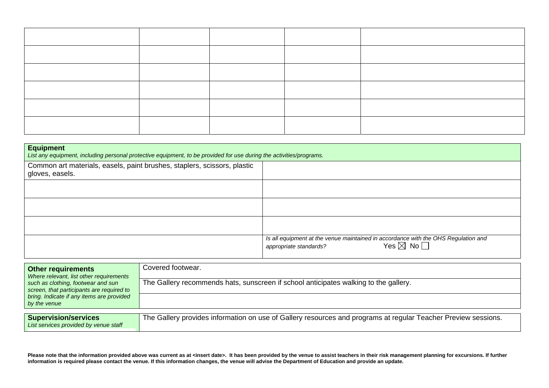| <b>Equipment</b><br>List any equipment, including personal protective equipment, to be provided for use during the activities/programs. |                                                                                                                                           |  |  |
|-----------------------------------------------------------------------------------------------------------------------------------------|-------------------------------------------------------------------------------------------------------------------------------------------|--|--|
| Common art materials, easels, paint brushes, staplers, scissors, plastic<br>gloves, easels.                                             |                                                                                                                                           |  |  |
|                                                                                                                                         |                                                                                                                                           |  |  |
|                                                                                                                                         |                                                                                                                                           |  |  |
|                                                                                                                                         |                                                                                                                                           |  |  |
|                                                                                                                                         | Is all equipment at the venue maintained in accordance with the OHS Regulation and<br>Yes $\boxtimes$ No $\Box$<br>appropriate standards? |  |  |

| <b>Other requirements</b><br>Where relevant, list other requirements<br>such as clothing, footwear and sun<br>screen, that participants are required to<br>bring. Indicate if any items are provided<br>by the venue | Covered footwear.<br>The Gallery recommends hats, sunscreen if school anticipates walking to the gallery.      |
|----------------------------------------------------------------------------------------------------------------------------------------------------------------------------------------------------------------------|----------------------------------------------------------------------------------------------------------------|
| <b>Supervision/services</b><br>List services provided by venue staff                                                                                                                                                 | The Gallery provides information on use of Gallery resources and programs at regular Teacher Preview sessions. |

Please note that the information provided above was current as at <insert date>. It has been provided by the venue to assist teachers in their risk management planning for excursions. If further **information is required please contact the venue. If this information changes, the venue will advise the Department of Education and provide an update.**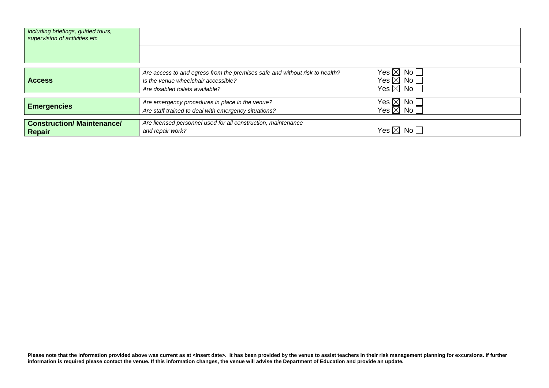| including briefings, guided tours,<br>supervision of activities etc |                                                                                                                                                       |                                                                                     |
|---------------------------------------------------------------------|-------------------------------------------------------------------------------------------------------------------------------------------------------|-------------------------------------------------------------------------------------|
|                                                                     |                                                                                                                                                       |                                                                                     |
| <b>Access</b>                                                       | Are access to and egress from the premises safe and without risk to health?<br>Is the venue wheelchair accessible?<br>Are disabled toilets available? | Yes $\boxtimes$ No $\Box$<br>Yes $\boxtimes$ No $\Box$<br>Yes $\boxtimes$ No $\Box$ |
| <b>Emergencies</b>                                                  | Are emergency procedures in place in the venue?<br>Are staff trained to deal with emergency situations?                                               | Yes $\boxtimes$ No $\Box$<br>Yes $\boxtimes$ No $\Box$                              |
| <b>Construction/ Maintenance/</b><br><b>Repair</b>                  | Are licensed personnel used for all construction, maintenance<br>and repair work?                                                                     | Yes $\boxtimes$ No $\Box$                                                           |